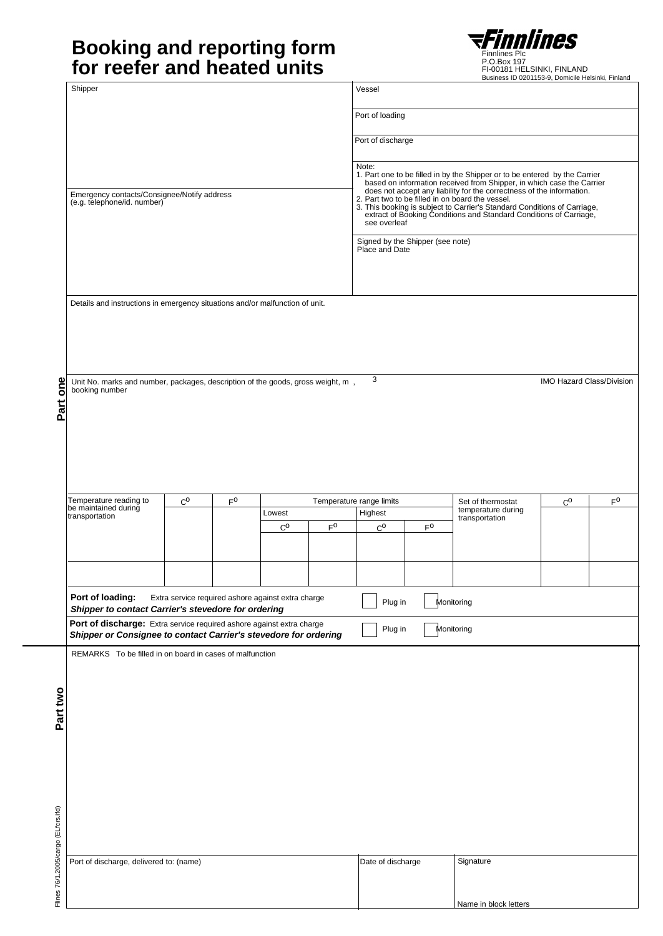# **Booking and reporting form Example 19 STIMMING for reefer and heated units**



Finnlines Plc<br>P.O.Box 197<br>FI-00181 HELSINKI, FINLAND<br>Business ID 0201153-9, Domicile Helsinki, Finland

| Shipper<br>Vessel<br>Port of loading<br>Port of discharge<br>Note:<br>1. Part one to be filled in by the Shipper or to be entered by the Carrier<br>based on information received from Shipper, in which case the Carrier<br>does not accept any liability for the correctness of the information.<br>2. Part<br>Emergency contacts/Consignee/Notify address<br>(e.g. telephone/id. number)<br>3. This booking is subject to Carrier's Standard Conditions of Carriage,<br>extract of Booking Conditions and Standard Conditions of Carriage,<br>see overleaf<br>Signed by the Shipper (see note)<br>Place and Date<br>Details and instructions in emergency situations and/or malfunction of unit.<br>3<br>Part one<br>Unit No. marks and number, packages, description of the goods, gross weight, m,<br>booking number<br>Temperature reading to<br>$\mathsf{F}^\mathsf{O}$<br>$\rm C^O$<br>$F^O$<br>Temperature range limits<br>$\rm C_{O}$<br>Set of thermostat<br>be maintained during<br>temperature during<br>Lowest<br>Highest<br>transportation<br>transportation<br>$F^0$<br>$C^{\text{O}}$<br>$F^0$<br>$C^{\text{O}}$<br>Port of loading:<br>Extra service required ashore against extra charge<br>Plug in<br>Monitoring<br>Shipper to contact Carrier's stevedore for ordering<br>Port of discharge: Extra service required ashore against extra charge<br>Plug in<br>Monitoring<br>Shipper or Consignee to contact Carrier's stevedore for ordering<br>REMARKS To be filled in on board in cases of malfunction<br>Signature<br>Port of discharge, delivered to: (name)<br>Date of discharge |  |  |  |  |  |  |  |  | Business ID 0201153-9, Domicile Helsinki, Finland |  |  |  |
|------------------------------------------------------------------------------------------------------------------------------------------------------------------------------------------------------------------------------------------------------------------------------------------------------------------------------------------------------------------------------------------------------------------------------------------------------------------------------------------------------------------------------------------------------------------------------------------------------------------------------------------------------------------------------------------------------------------------------------------------------------------------------------------------------------------------------------------------------------------------------------------------------------------------------------------------------------------------------------------------------------------------------------------------------------------------------------------------------------------------------------------------------------------------------------------------------------------------------------------------------------------------------------------------------------------------------------------------------------------------------------------------------------------------------------------------------------------------------------------------------------------------------------------------------------------------------------------------------------|--|--|--|--|--|--|--|--|---------------------------------------------------|--|--|--|
| IMO Hazard Class/Division                                                                                                                                                                                                                                                                                                                                                                                                                                                                                                                                                                                                                                                                                                                                                                                                                                                                                                                                                                                                                                                                                                                                                                                                                                                                                                                                                                                                                                                                                                                                                                                  |  |  |  |  |  |  |  |  |                                                   |  |  |  |
|                                                                                                                                                                                                                                                                                                                                                                                                                                                                                                                                                                                                                                                                                                                                                                                                                                                                                                                                                                                                                                                                                                                                                                                                                                                                                                                                                                                                                                                                                                                                                                                                            |  |  |  |  |  |  |  |  |                                                   |  |  |  |
|                                                                                                                                                                                                                                                                                                                                                                                                                                                                                                                                                                                                                                                                                                                                                                                                                                                                                                                                                                                                                                                                                                                                                                                                                                                                                                                                                                                                                                                                                                                                                                                                            |  |  |  |  |  |  |  |  |                                                   |  |  |  |
|                                                                                                                                                                                                                                                                                                                                                                                                                                                                                                                                                                                                                                                                                                                                                                                                                                                                                                                                                                                                                                                                                                                                                                                                                                                                                                                                                                                                                                                                                                                                                                                                            |  |  |  |  |  |  |  |  |                                                   |  |  |  |
|                                                                                                                                                                                                                                                                                                                                                                                                                                                                                                                                                                                                                                                                                                                                                                                                                                                                                                                                                                                                                                                                                                                                                                                                                                                                                                                                                                                                                                                                                                                                                                                                            |  |  |  |  |  |  |  |  |                                                   |  |  |  |
|                                                                                                                                                                                                                                                                                                                                                                                                                                                                                                                                                                                                                                                                                                                                                                                                                                                                                                                                                                                                                                                                                                                                                                                                                                                                                                                                                                                                                                                                                                                                                                                                            |  |  |  |  |  |  |  |  |                                                   |  |  |  |
|                                                                                                                                                                                                                                                                                                                                                                                                                                                                                                                                                                                                                                                                                                                                                                                                                                                                                                                                                                                                                                                                                                                                                                                                                                                                                                                                                                                                                                                                                                                                                                                                            |  |  |  |  |  |  |  |  |                                                   |  |  |  |
|                                                                                                                                                                                                                                                                                                                                                                                                                                                                                                                                                                                                                                                                                                                                                                                                                                                                                                                                                                                                                                                                                                                                                                                                                                                                                                                                                                                                                                                                                                                                                                                                            |  |  |  |  |  |  |  |  |                                                   |  |  |  |
|                                                                                                                                                                                                                                                                                                                                                                                                                                                                                                                                                                                                                                                                                                                                                                                                                                                                                                                                                                                                                                                                                                                                                                                                                                                                                                                                                                                                                                                                                                                                                                                                            |  |  |  |  |  |  |  |  |                                                   |  |  |  |
|                                                                                                                                                                                                                                                                                                                                                                                                                                                                                                                                                                                                                                                                                                                                                                                                                                                                                                                                                                                                                                                                                                                                                                                                                                                                                                                                                                                                                                                                                                                                                                                                            |  |  |  |  |  |  |  |  |                                                   |  |  |  |
|                                                                                                                                                                                                                                                                                                                                                                                                                                                                                                                                                                                                                                                                                                                                                                                                                                                                                                                                                                                                                                                                                                                                                                                                                                                                                                                                                                                                                                                                                                                                                                                                            |  |  |  |  |  |  |  |  |                                                   |  |  |  |
|                                                                                                                                                                                                                                                                                                                                                                                                                                                                                                                                                                                                                                                                                                                                                                                                                                                                                                                                                                                                                                                                                                                                                                                                                                                                                                                                                                                                                                                                                                                                                                                                            |  |  |  |  |  |  |  |  |                                                   |  |  |  |
|                                                                                                                                                                                                                                                                                                                                                                                                                                                                                                                                                                                                                                                                                                                                                                                                                                                                                                                                                                                                                                                                                                                                                                                                                                                                                                                                                                                                                                                                                                                                                                                                            |  |  |  |  |  |  |  |  |                                                   |  |  |  |
|                                                                                                                                                                                                                                                                                                                                                                                                                                                                                                                                                                                                                                                                                                                                                                                                                                                                                                                                                                                                                                                                                                                                                                                                                                                                                                                                                                                                                                                                                                                                                                                                            |  |  |  |  |  |  |  |  |                                                   |  |  |  |
|                                                                                                                                                                                                                                                                                                                                                                                                                                                                                                                                                                                                                                                                                                                                                                                                                                                                                                                                                                                                                                                                                                                                                                                                                                                                                                                                                                                                                                                                                                                                                                                                            |  |  |  |  |  |  |  |  |                                                   |  |  |  |
|                                                                                                                                                                                                                                                                                                                                                                                                                                                                                                                                                                                                                                                                                                                                                                                                                                                                                                                                                                                                                                                                                                                                                                                                                                                                                                                                                                                                                                                                                                                                                                                                            |  |  |  |  |  |  |  |  |                                                   |  |  |  |
|                                                                                                                                                                                                                                                                                                                                                                                                                                                                                                                                                                                                                                                                                                                                                                                                                                                                                                                                                                                                                                                                                                                                                                                                                                                                                                                                                                                                                                                                                                                                                                                                            |  |  |  |  |  |  |  |  |                                                   |  |  |  |
|                                                                                                                                                                                                                                                                                                                                                                                                                                                                                                                                                                                                                                                                                                                                                                                                                                                                                                                                                                                                                                                                                                                                                                                                                                                                                                                                                                                                                                                                                                                                                                                                            |  |  |  |  |  |  |  |  |                                                   |  |  |  |
|                                                                                                                                                                                                                                                                                                                                                                                                                                                                                                                                                                                                                                                                                                                                                                                                                                                                                                                                                                                                                                                                                                                                                                                                                                                                                                                                                                                                                                                                                                                                                                                                            |  |  |  |  |  |  |  |  |                                                   |  |  |  |
|                                                                                                                                                                                                                                                                                                                                                                                                                                                                                                                                                                                                                                                                                                                                                                                                                                                                                                                                                                                                                                                                                                                                                                                                                                                                                                                                                                                                                                                                                                                                                                                                            |  |  |  |  |  |  |  |  |                                                   |  |  |  |
|                                                                                                                                                                                                                                                                                                                                                                                                                                                                                                                                                                                                                                                                                                                                                                                                                                                                                                                                                                                                                                                                                                                                                                                                                                                                                                                                                                                                                                                                                                                                                                                                            |  |  |  |  |  |  |  |  |                                                   |  |  |  |
|                                                                                                                                                                                                                                                                                                                                                                                                                                                                                                                                                                                                                                                                                                                                                                                                                                                                                                                                                                                                                                                                                                                                                                                                                                                                                                                                                                                                                                                                                                                                                                                                            |  |  |  |  |  |  |  |  |                                                   |  |  |  |
|                                                                                                                                                                                                                                                                                                                                                                                                                                                                                                                                                                                                                                                                                                                                                                                                                                                                                                                                                                                                                                                                                                                                                                                                                                                                                                                                                                                                                                                                                                                                                                                                            |  |  |  |  |  |  |  |  |                                                   |  |  |  |
|                                                                                                                                                                                                                                                                                                                                                                                                                                                                                                                                                                                                                                                                                                                                                                                                                                                                                                                                                                                                                                                                                                                                                                                                                                                                                                                                                                                                                                                                                                                                                                                                            |  |  |  |  |  |  |  |  |                                                   |  |  |  |
|                                                                                                                                                                                                                                                                                                                                                                                                                                                                                                                                                                                                                                                                                                                                                                                                                                                                                                                                                                                                                                                                                                                                                                                                                                                                                                                                                                                                                                                                                                                                                                                                            |  |  |  |  |  |  |  |  |                                                   |  |  |  |
|                                                                                                                                                                                                                                                                                                                                                                                                                                                                                                                                                                                                                                                                                                                                                                                                                                                                                                                                                                                                                                                                                                                                                                                                                                                                                                                                                                                                                                                                                                                                                                                                            |  |  |  |  |  |  |  |  |                                                   |  |  |  |
|                                                                                                                                                                                                                                                                                                                                                                                                                                                                                                                                                                                                                                                                                                                                                                                                                                                                                                                                                                                                                                                                                                                                                                                                                                                                                                                                                                                                                                                                                                                                                                                                            |  |  |  |  |  |  |  |  |                                                   |  |  |  |
|                                                                                                                                                                                                                                                                                                                                                                                                                                                                                                                                                                                                                                                                                                                                                                                                                                                                                                                                                                                                                                                                                                                                                                                                                                                                                                                                                                                                                                                                                                                                                                                                            |  |  |  |  |  |  |  |  |                                                   |  |  |  |
|                                                                                                                                                                                                                                                                                                                                                                                                                                                                                                                                                                                                                                                                                                                                                                                                                                                                                                                                                                                                                                                                                                                                                                                                                                                                                                                                                                                                                                                                                                                                                                                                            |  |  |  |  |  |  |  |  |                                                   |  |  |  |
|                                                                                                                                                                                                                                                                                                                                                                                                                                                                                                                                                                                                                                                                                                                                                                                                                                                                                                                                                                                                                                                                                                                                                                                                                                                                                                                                                                                                                                                                                                                                                                                                            |  |  |  |  |  |  |  |  |                                                   |  |  |  |
|                                                                                                                                                                                                                                                                                                                                                                                                                                                                                                                                                                                                                                                                                                                                                                                                                                                                                                                                                                                                                                                                                                                                                                                                                                                                                                                                                                                                                                                                                                                                                                                                            |  |  |  |  |  |  |  |  |                                                   |  |  |  |
|                                                                                                                                                                                                                                                                                                                                                                                                                                                                                                                                                                                                                                                                                                                                                                                                                                                                                                                                                                                                                                                                                                                                                                                                                                                                                                                                                                                                                                                                                                                                                                                                            |  |  |  |  |  |  |  |  |                                                   |  |  |  |
|                                                                                                                                                                                                                                                                                                                                                                                                                                                                                                                                                                                                                                                                                                                                                                                                                                                                                                                                                                                                                                                                                                                                                                                                                                                                                                                                                                                                                                                                                                                                                                                                            |  |  |  |  |  |  |  |  |                                                   |  |  |  |
| Name in block letters                                                                                                                                                                                                                                                                                                                                                                                                                                                                                                                                                                                                                                                                                                                                                                                                                                                                                                                                                                                                                                                                                                                                                                                                                                                                                                                                                                                                                                                                                                                                                                                      |  |  |  |  |  |  |  |  |                                                   |  |  |  |